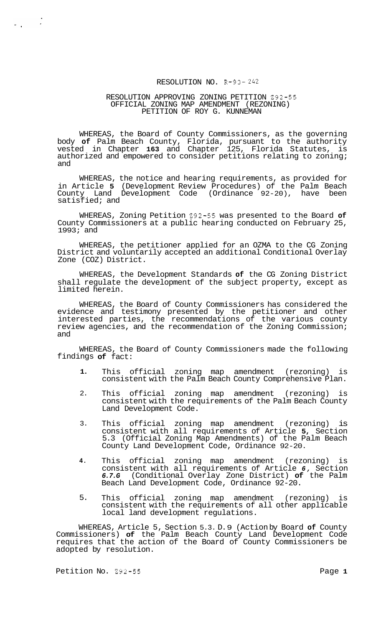## RESOLUTION NO. R-93- *242*

#### RESOLUTION APPROVING ZONING PETITION 292-55 PETITION OF ROY G. KUNNEMAN OFFICIAL ZONING MAP AMENDMENT (REZONING)

WHEREAS, the Board of County Commissioners, as the governing body **of** Palm Beach County, Florida, pursuant to the authority vested in Chapter **163** and Chapter 125, Florida Statutes, is authorized and empowered to consider petitions relating to zoning; and

WHEREAS, the notice and hearing requirements, as provided for in Article **5** (Development Review Procedures) of the Palm Beach County Land Development Code (Ordinance 92-20), have been satisfied; and

WHEREAS, Zoning Petition 292-55 was presented to the Board **of**  County Commissioners at a public hearing conducted on February 25, 1993; and

WHEREAS, the petitioner applied for an OZMA to the CG Zoning District and voluntarily accepted an additional Conditional Overlay Zone (COZ) District.

WHEREAS, the Development Standards **of** the CG Zoning District shall regulate the development of the subject property, except as limited herein.

WHEREAS, the Board of County Commissioners has considered the evidence and testimony presented by the petitioner and other interested parties, the recommendations of the various county review agencies, and the recommendation of the Zoning Commission; and

WHEREAS, the Board of County Commissioners made the following findings **of** fact:

- **1.**  This official zoning map amendment (rezoning) is consistent with the Palm Beach County Comprehensive Plan.
- 2. This official zoning map amendment (rezoning) is consistent with the requirements of the Palm Beach County Land Development Code.
- 3. This official zoning map amendment (rezoning) is consistent with all requirements of Article **5,** Section 5.3 (Official Zoning Map Amendments) of the Palm Beach County Land Development Code, Ordinance 92-20.
- **4.**  This official zoning map amendment (rezoning) is consistent with all requirements of Article *6,* Section *6.7.G* (Conditional Overlay Zone District) **of** the Palm Beach Land Development Code, Ordinance 92-20.
- 5. This official zoning map amendment (rezoning) is consistent with the requirements of all other applicable local land development regulations.

WHEREAS, Article 5, Section 5.3. D. 9 (Action by Board **of** County Commissioners) **of** the Palm Beach County Land Development Code requires that the action of the Board of County Commissioners be adopted by resolution.

Petition No. 292-55 Page 1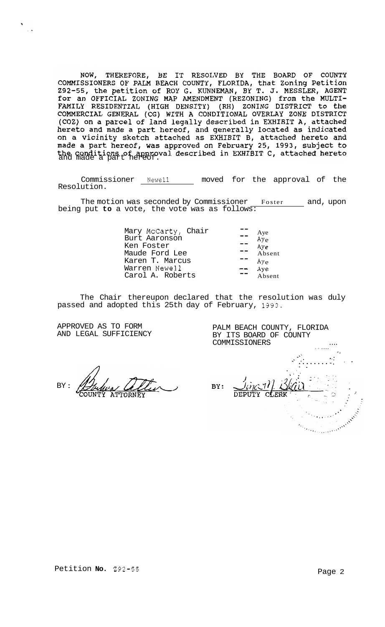NOW, THEREFORE, BE IT RESOLVED BY THE BOARD OF COUNTY<br>COMMISSIONERS OF PALM BEACH COUNTY, FLORIDA, that Zoning Petition<br>292-55, the petition of ROY G. KUNNEMAN, BY T. J. MESSLER, AGENT 292-55, the petition of ROY G. KUNNEMAN, BY T. J. MESSLER, AGENT<br>for an OFFICIAL ZONING MAP AMENDMENT (REZONING) from the MULTI-<br>FAMILY RESIDENTIAL (HIGH DENSITY) (RH) ZONING DISTRICT to the<br>COMMERCIAL GENERAL (CG) WITH A

Commissioner Newell moved for the approval of the Resolution.

The motion was seconded by Commissioner Foster and, upon being put to a vote, the vote was as follows:

| Mary McCarty, Chair |    |                        |
|---------------------|----|------------------------|
| Burt Aaronson       |    | Aye<br>Ay <sub>e</sub> |
| Ken Foster          |    | Aye                    |
| Maude Ford Lee      | -- | Absent                 |
| Karen T. Marcus     |    | $Ay_{e}$               |
| Warren Newell       | -- | Aye                    |
| Carol A. Roberts    |    | Absent                 |
|                     |    |                        |

The Chair thereupon declared that the resolution was duly passed and adopted this 25th day of February, 1993.

APPROVED AS TO FORM AND LEGAL SUFFICIENCY

 $\sim$   $\lambda$ 

 $BY$  :

 $\langle \cdot \rangle_{\star}$  $BY:$ CLERK Samuel Communication

PALM BEACH COUNTY, FLORIDA BY ITS BOARD OF COUNTY COMMISSIONERS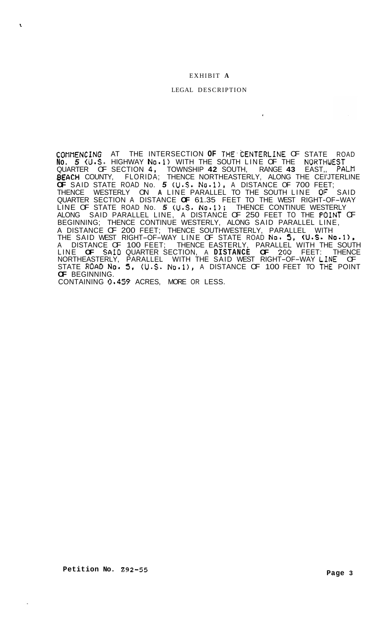# EXHIBIT **A**

#### LEGAL DESCRIPTION

 $\mathbf{r}$ 

COMI'IENCING AT THE INTERSECTION **OF** THE.CENTERL1NE OF STATE ROAD **No.** *5* (U.S. HIGHWAY No.1) WITH THE SOUTH LINE OF THE NORTWEST EACH COUNTY, FLORIDA; THENCE NORTHEASTERLY, ALONG THE CEI'JTERLINE **OF** SAID STATE ROAD No. *5* (U.S. No.l), A DISTANCE OF 700 FEET; THENCE WESTERLY ON A LINE PARALLEL TO THE SOUTH LINE OF SAID LINE OF STATE ROAD No. *5* (U.S. No.1); THENCE CONTINUE WESTERLY ALONG SAID PARALLEL LINE, A DISTANCE OF 250 FEET TO THE POINT OF BEGINNING; THENCE CONTINUE WESTERLY, ALONG SAID PARALLEL LINE, A DISTANCE OF 200 FEET; THENCE SOUTHWESTERLY, PARALLEL WITH THE SAID WEST RIGHT-OF-WAY LINE OF STATE ROAD NO. *5,* (U.S. No\*l)c QUARTER OF SECTION **4,** TOWNSHIP **42** SOUTH, RANGE **43** EAST,, PALM QUARTER SECTION A DISTANCE **OF** 61.35 FEET TO THE WEST RIGHT-OF-WAY A DISTANCE OF 100 FEET; THENCE EASTERLY, PARALLEL WITH THE SOUTH LINE **OF SAID** QUARTER SECTION, A **DISTANCE OF 200** FEET: THENCE NORTHEASTERLY, PARALLEL WITH THE SAID WEST RIGHT-OF-WAY L.INE OF STATE ROAD No. 5, (U.S. No.1), A DISTANCE OF 100 FEET TO THE POINT **OF** BEGINNING. CONTAINING **0.459** ACRES, MORE OR LESS.

**t**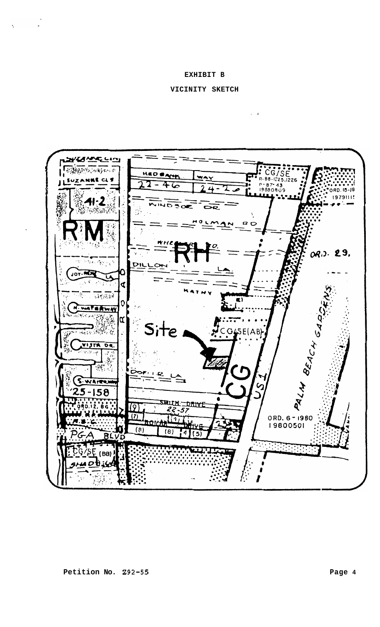#### **EXHIBIT B**

 $\sim 10^{-11}$ 

 $\ddot{\phantom{a}}$ 

## **VICINITY SKETCH**

 $\sim 10^{-1}$   $\rm K$